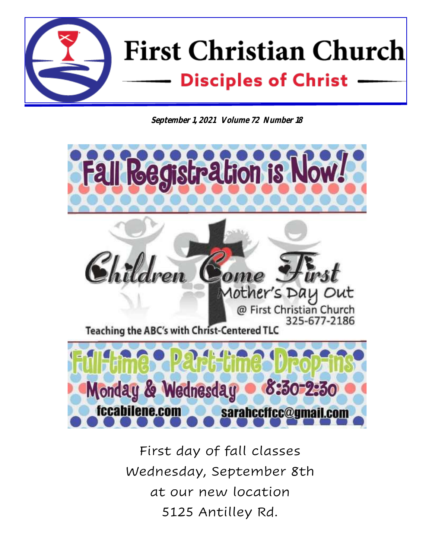

**September 1, 2021 Volume 72 Number 18**



First day of fall classes Wednesday, September 8th at our new location 5125 Antilley Rd.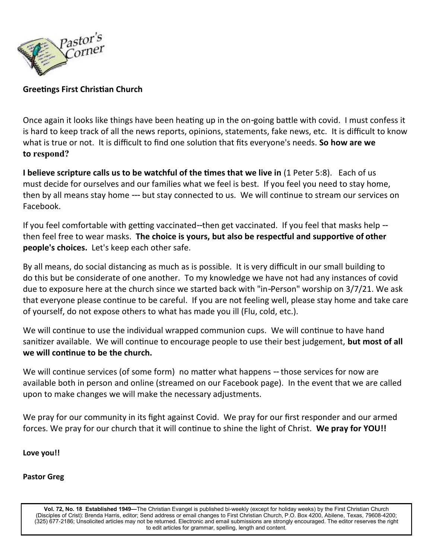

#### **Greetings First Christian Church**

Once again it looks like things have been heating up in the on-going battle with covid. I must confess it is hard to keep track of all the news reports, opinions, statements, fake news, etc. It is difficult to know what is true or not. It is difficult to find one solution that fits everyone's needs. **So how are we to respond?**

**I believe scripture calls us to be watchful of the times that we live in** (1 Peter 5:8). Each of us must decide for ourselves and our families what we feel is best. If you feel you need to stay home, then by all means stay home --- but stay connected to us. We will continue to stream our services on Facebook.

If you feel comfortable with getting vaccinated--then get vaccinated. If you feel that masks help - then feel free to wear masks. **The choice is yours, but also be respectful and supportive of other people's choices.** Let's keep each other safe.

By all means, do social distancing as much as is possible. It is very difficult in our small building to do this but be considerate of one another. To my knowledge we have not had any instances of covid due to exposure here at the church since we started back with "in-Person" worship on 3/7/21. We ask that everyone please continue to be careful. If you are not feeling well, please stay home and take care of yourself, do not expose others to what has made you ill (Flu, cold, etc.).

We will continue to use the individual wrapped communion cups. We will continue to have hand sanitizer available. We will continue to encourage people to use their best judgement, **but most of all we will continue to be the church.** 

We will continue services (of some form) no matter what happens -- those services for now are available both in person and online (streamed on our Facebook page). In the event that we are called upon to make changes we will make the necessary adjustments.

We pray for our community in its fight against Covid. We pray for our first responder and our armed forces. We pray for our church that it will continue to shine the light of Christ. **We pray for YOU!!**

**Love you!!**

#### **Pastor Greg**

**Vol. 72, No. 18 Established 1949—**The Christian Evangel is published bi-weekly (except for holiday weeks) by the First Christian Church (Disciples of Crist): Brenda Harris, editor; Send address or email changes to First Christian Church, P.O. Box 4200, Abilene, Texas, 79608-4200; (325) 677-2186; Unsolicited articles may not be returned. Electronic and email submissions are strongly encouraged. The editor reserves the right to edit articles for grammar, spelling, length and content.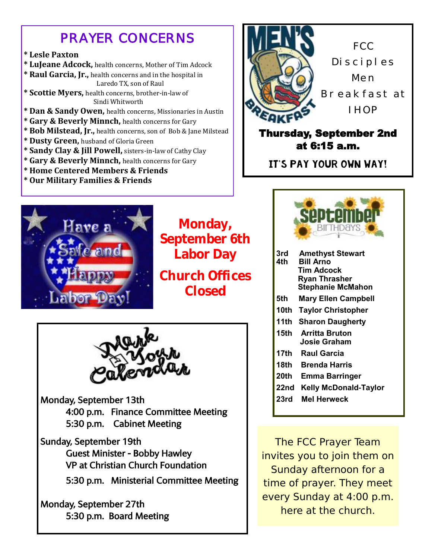## *PRAYER CONCERNS*

### **\* Lesle Paxton**

- **\* LuJeane Adcock,** health concerns, Mother of Tim Adcock
- **\* Raul Garcia, Jr.,** health concerns and in the hospital in Laredo TX, son of Raul

**\* Scottie Myers,** health concerns, brother-in-law of Sindi Whitworth

- **\* Dan & Sandy Owen,** health concerns, Missionaries in Austin
- **\* Gary & Beverly Minnch,** health concerns for Gary
- **\* Bob Milstead, Jr.,** health concerns, son of Bob & Jane Milstead
- **\* Dusty Green,** husband of Gloria Green
- **\* Sandy Clay & Jill Powell,** sisters-in-law of Cathy Clay
- **\* Gary & Beverly Minnch,** health concerns for Gary
- **\* Home Centered Members & Friends**
- **\* Our Military Families & Friends**



**Monday, September 6th Labor Day**

**Church Offices Closed**



Monday, September 13th 4:00 p.m. Finance Committee Meeting 5:30 p.m. Cabinet Meeting

- Sunday, September 19th Guest Minister - Bobby Hawley VP at Christian Church Foundation
	- 5:30 p.m. Ministerial Committee Meeting

Monday, September 27th 5:30 p.m. Board Meeting



Thursday, September 2nd at 6:15 a.m.

It's pay your own way!



| 3rd  | <b>Amethyst Stewart</b>    |
|------|----------------------------|
| 4th  | <b>Bill Arno</b>           |
|      | Tim Adcock                 |
|      | Ryan Thrasher              |
|      | <b>Stephanie McMahon</b>   |
| 5th  | <b>Mary Ellen Campbell</b> |
| 10th | <b>Taylor Christopher</b>  |
| 11th | <b>Sharon Daugherty</b>    |
| 15th | <b>Arritta Bruton</b>      |
|      | Josie Graham               |
| 17th | <b>Raul Garcia</b>         |
| 18th | <b>Brenda Harris</b>       |
|      | 20th Emma Barringer        |
|      |                            |

- **22nd Kelly McDonald-Taylor**
- **23rd Mel Herweck**

The FCC Prayer Team invites you to join them on Sunday afternoon for a time of prayer. They meet every Sunday at 4:00 p.m. here at the church.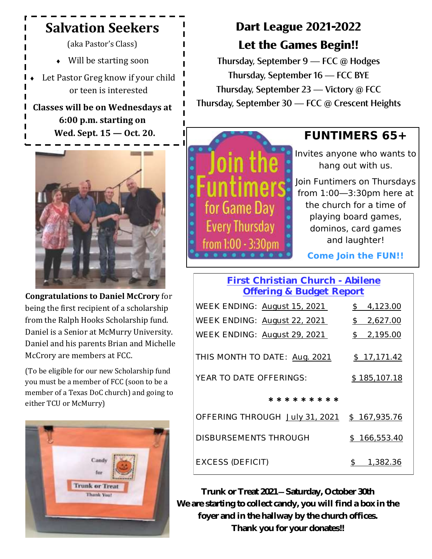## **Salvation Seekers**

(aka Pastor's Class)

Will be starting soon

 Let Pastor Greg know if your child or teen is interested

**Classes will be on Wednesdays at 6:00 p.m. starting on Wed. Sept. 15 — Oct. 20.**



**Congratulations to Daniel McCrory** for being the first recipient of a scholarship from the Ralph Hooks Scholarship fund. Daniel is a Senior at McMurry University. Daniel and his parents Brian and Michelle McCrory are members at FCC.

(To be eligible for our new Scholarship fund you must be a member of FCC (soon to be a member of a Texas DoC church) and going to either TCU or McMurry)



# **Dart League 2021-2022 Let the Games Begin!!**

Thursday, September 9 — FCC @ Hodges Thursday, September 16 — FCC BYE Thursday, September 23 — Victory @ FCC Thursday, September 30 — FCC @ Crescent Heights



## **FUNTIMERS 65+**

Invites anyone who wants to hang out with us.

Join Funtimers on Thursdays from 1:00—3:30pm here at the church for a time of playing board games, dominos, card games and laughter!

**Come Join the FUN!!**

## **First Christian Church - Abilene Offering & Budget Report**

| WEEK ENDING: August 15, 2021   | 4,123.00<br>$\mathbb S$   |
|--------------------------------|---------------------------|
| WEEK ENDING: August 22, 2021   | 2,627.00<br>$\mathcal{L}$ |
| WEEK ENDING: August 29, 2021   | 2,195.00<br>$\mathcal{S}$ |
|                                |                           |
| THIS MONTH TO DATE: Aug. 2021  | \$17,171.42               |
| YEAR TO DATE OFFERINGS:        | \$185,107.18              |
|                                |                           |
| * * * * * * * * *              |                           |
| OFFERING THROUGH July 31, 2021 | \$167,935.76              |
| DISBURSEMENTS THROUGH          | \$166,553.40              |
|                                |                           |

EXCESS (DEFICIT) \$ 1,382.36

**Trunk or Treat 2021—Saturday, October 30th We are starting to collect candy, you will find a box in the foyer and in the hallway by the church offices. Thank you for your donates!!**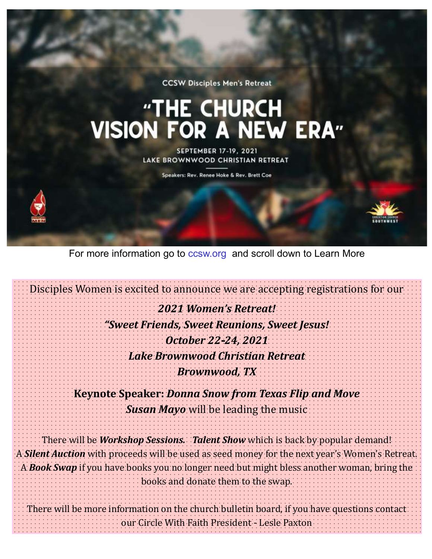**CCSW Disciples Men's Retreat** 

# "THE CHURCH<br>VISION FOR A NEW ERA"

**SEPTEMBER 17-19, 2021** LAKE BROWNWOOD CHRISTIAN RETREAT

Speakers: Rev. Renee Hoke & Rev. Brett Coe



For more information go to ccsw.org and scroll down to Learn More

Disciples Women is excited to announce we are accepting registrations for our *2021 Women's Retreat! "Sweet Friends, Sweet Reunions, Sweet Jesus! October 22-24, 2021 Lake Brownwood Christian Retreat Brownwood, TX*  **Keynote Speaker:** *Donna Snow from Texas Flip and Move Susan Mayo* will be leading the music There will be *Workshop Sessions. Talent Show* which is back by popular demand! A *Silent Auction* with proceeds will be used as seed money for the next year's Women's Retreat. A *Book Swap* if you have books you no longer need but might bless another woman, bring the books and donate them to the swap. There will be more information on the church bulletin board, if you have questions contact our Circle With Faith President - Lesle Paxton